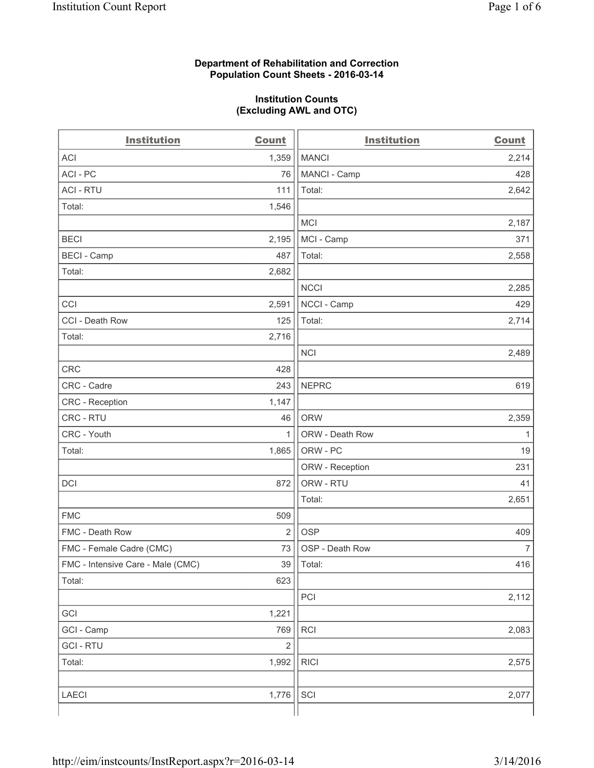### **Department of Rehabilitation and Correction Population Count Sheets - 2016-03-14**

### **Institution Counts (Excluding AWL and OTC)**

| <b>Institution</b>                | <b>Count</b>   | <b>Institution</b> | <b>Count</b> |
|-----------------------------------|----------------|--------------------|--------------|
| <b>ACI</b>                        | 1,359          | <b>MANCI</b>       | 2,214        |
| ACI - PC                          | 76             | MANCI - Camp       | 428          |
| <b>ACI - RTU</b>                  | 111            | Total:             | 2,642        |
| Total:                            | 1,546          |                    |              |
|                                   |                | <b>MCI</b>         | 2,187        |
| <b>BECI</b>                       | 2,195          | MCI - Camp         | 371          |
| <b>BECI - Camp</b>                | 487            | Total:             | 2,558        |
| Total:                            | 2,682          |                    |              |
|                                   |                | <b>NCCI</b>        | 2,285        |
| CCI                               | 2,591          | NCCI - Camp        | 429          |
| CCI - Death Row                   | 125            | Total:             | 2,714        |
| Total:                            | 2,716          |                    |              |
|                                   |                | <b>NCI</b>         | 2,489        |
| <b>CRC</b>                        | 428            |                    |              |
| CRC - Cadre                       | 243            | <b>NEPRC</b>       | 619          |
| CRC - Reception                   | 1,147          |                    |              |
| CRC - RTU                         | 46             | <b>ORW</b>         | 2,359        |
| CRC - Youth                       | 1              | ORW - Death Row    | 1            |
| Total:                            | 1,865          | ORW - PC           | 19           |
|                                   |                | ORW - Reception    | 231          |
| DCI                               | 872            | ORW - RTU          | 41           |
|                                   |                | Total:             | 2,651        |
| <b>FMC</b>                        | 509            |                    |              |
| FMC - Death Row                   | $\overline{2}$ | <b>OSP</b>         | 409          |
| FMC - Female Cadre (CMC)          | 73             | OSP - Death Row    | 7            |
| FMC - Intensive Care - Male (CMC) | 39             | Total:             | 416          |
| Total:                            | 623            |                    |              |
|                                   |                | PCI                | 2,112        |
| GCI                               | 1,221          |                    |              |
| GCI - Camp                        | 769            | <b>RCI</b>         | 2,083        |
| <b>GCI - RTU</b>                  | $\mathbf 2$    |                    |              |
| Total:                            | 1,992          | <b>RICI</b>        | 2,575        |
|                                   |                |                    |              |
| LAECI                             | 1,776          | SCI                | 2,077        |
|                                   |                |                    |              |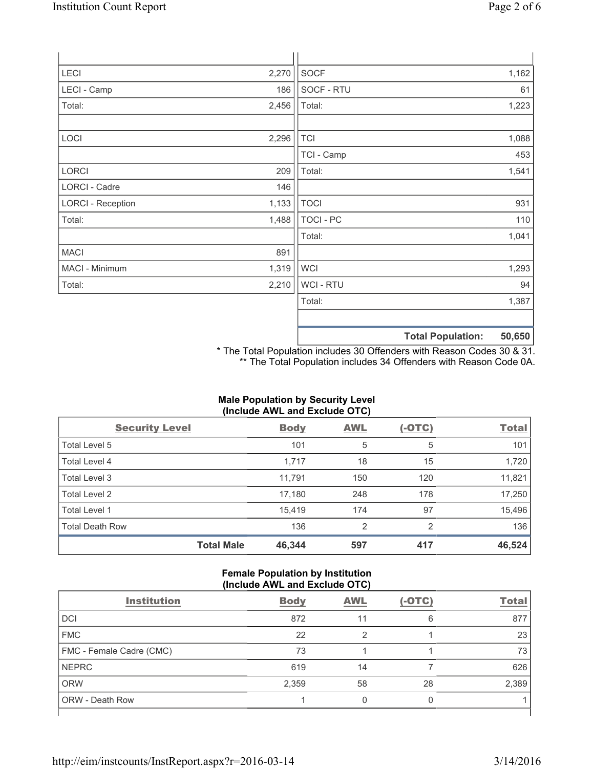| LECI                     | 2,270 | <b>SOCF</b>    |                          | 1,162  |
|--------------------------|-------|----------------|--------------------------|--------|
| LECI - Camp              | 186   | SOCF - RTU     |                          | 61     |
| Total:                   | 2,456 | Total:         |                          | 1,223  |
|                          |       |                |                          |        |
| LOCI                     | 2,296 | <b>TCI</b>     |                          | 1,088  |
|                          |       | TCI - Camp     |                          | 453    |
| LORCI                    | 209   | Total:         |                          | 1,541  |
| LORCI - Cadre            | 146   |                |                          |        |
| <b>LORCI - Reception</b> | 1,133 | <b>TOCI</b>    |                          | 931    |
| Total:                   | 1,488 | TOCI - PC      |                          | 110    |
|                          |       | Total:         |                          | 1,041  |
| <b>MACI</b>              | 891   |                |                          |        |
| MACI - Minimum           | 1,319 | <b>WCI</b>     |                          | 1,293  |
| Total:                   | 2,210 | <b>WCI-RTU</b> |                          | 94     |
|                          |       | Total:         |                          | 1,387  |
|                          |       |                |                          |        |
|                          |       |                | <b>Total Population:</b> | 50,650 |

\* The Total Population includes 30 Offenders with Reason Codes 30 & 31. \*\* The Total Population includes 34 Offenders with Reason Code 0A.

# **Male Population by Security Level (Include AWL and Exclude OTC)**

| <b>Security Level</b>  |                   | <b>Body</b> | <b>AWL</b> | $(-OTC)$ | <b>Total</b> |
|------------------------|-------------------|-------------|------------|----------|--------------|
| Total Level 5          |                   | 101         | 5          | 5        | 101          |
| <b>Total Level 4</b>   |                   | 1,717       | 18         | 15       | 1,720        |
| Total Level 3          |                   | 11,791      | 150        | 120      | 11,821       |
| Total Level 2          |                   | 17,180      | 248        | 178      | 17,250       |
| Total Level 1          |                   | 15,419      | 174        | 97       | 15,496       |
| <b>Total Death Row</b> |                   | 136         | 2          | 2        | 136          |
|                        | <b>Total Male</b> | 46,344      | 597        | 417      | 46,524       |

### **Female Population by Institution (Include AWL and Exclude OTC)**

| $\frac{1}{2}$            |             |            |          |              |  |
|--------------------------|-------------|------------|----------|--------------|--|
| <b>Institution</b>       | <b>Body</b> | <b>AWL</b> | $(-OTC)$ | <b>Total</b> |  |
| <b>DCI</b>               | 872         | 11         | 6        | 877          |  |
| <b>FMC</b>               | 22          | 2          |          | 23           |  |
| FMC - Female Cadre (CMC) | 73          |            |          | 73           |  |
| <b>NEPRC</b>             | 619         | 14         |          | 626          |  |
| <b>ORW</b>               | 2,359       | 58         | 28       | 2,389        |  |
| <b>ORW - Death Row</b>   |             |            |          |              |  |
|                          |             |            |          |              |  |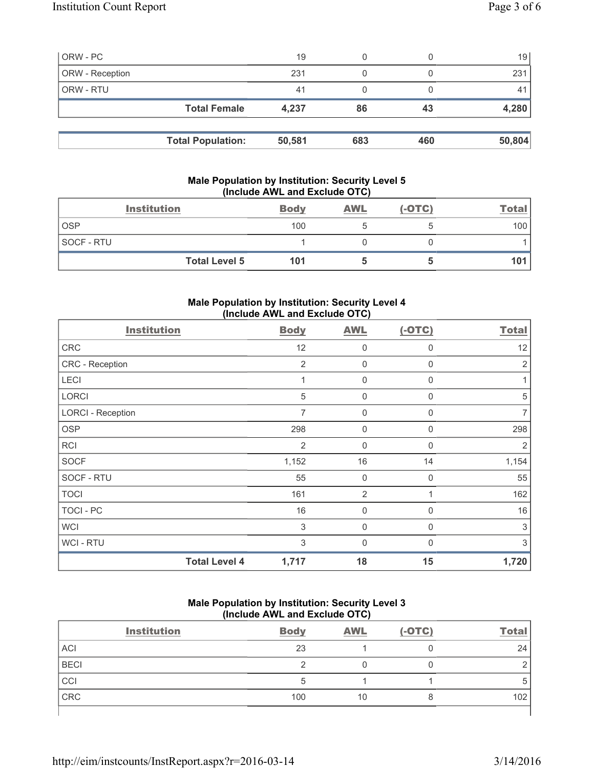| ORW - PC        |                          | 19     |     |     | 19     |
|-----------------|--------------------------|--------|-----|-----|--------|
| ORW - Reception |                          | 231    |     |     | 231    |
| ORW - RTU       |                          | 41     |     |     |        |
|                 | <b>Total Female</b>      | 4,237  | 86  | 43  | 4,280  |
|                 |                          |        |     |     |        |
|                 | <b>Total Population:</b> | 50,581 | 683 | 460 | 50,804 |

## **Male Population by Institution: Security Level 5 (Include AWL and Exclude OTC)**

| <b>Institution</b>   | <b>Body</b> | <b>AWL</b> | $(-OTC)$ | <u>Total</u> |
|----------------------|-------------|------------|----------|--------------|
| <b>OSP</b>           | 100         |            |          | 100          |
| <b>SOCF - RTU</b>    |             |            |          |              |
| <b>Total Level 5</b> | 101         |            |          | 101          |

## **Male Population by Institution: Security Level 4 (Include AWL and Exclude OTC)**

| <b>Institution</b>       |                      | <b>Body</b> | <b>AWL</b>     | $(-OTC)$     | <b>Total</b>   |
|--------------------------|----------------------|-------------|----------------|--------------|----------------|
| CRC                      |                      | 12          | 0              | 0            | 12             |
| CRC - Reception          |                      | 2           | $\mathbf 0$    | 0            | $\overline{2}$ |
| LECI                     |                      | 1           | 0              | 0            |                |
| <b>LORCI</b>             |                      | 5           | $\mathbf 0$    | $\mathbf{0}$ | 5              |
| <b>LORCI - Reception</b> |                      | 7           | $\mathbf 0$    | $\Omega$     | $\overline{7}$ |
| <b>OSP</b>               |                      | 298         | $\mathbf 0$    | $\Omega$     | 298            |
| <b>RCI</b>               |                      | 2           | 0              | 0            | 2              |
| <b>SOCF</b>              |                      | 1,152       | 16             | 14           | 1,154          |
| SOCF - RTU               |                      | 55          | $\mathbf 0$    | 0            | 55             |
| <b>TOCI</b>              |                      | 161         | $\overline{2}$ | 1            | 162            |
| <b>TOCI - PC</b>         |                      | 16          | 0              | $\Omega$     | 16             |
| <b>WCI</b>               |                      | 3           | 0              | 0            | 3              |
| <b>WCI - RTU</b>         |                      | 3           | $\Omega$       | $\Omega$     | 3              |
|                          | <b>Total Level 4</b> | 1,717       | 18             | 15           | 1,720          |

# **Male Population by Institution: Security Level 3 (Include AWL and Exclude OTC)**

| (111)              |             |            |          |              |  |
|--------------------|-------------|------------|----------|--------------|--|
| <b>Institution</b> | <b>Body</b> | <b>AWL</b> | $(-OTC)$ | <b>Total</b> |  |
| ACI                | 23          |            |          | 24           |  |
| <b>BECI</b>        | ົ           |            |          |              |  |
| CCI                | 5           |            |          |              |  |
| CRC                | 100         | 10         |          | 102          |  |
|                    |             |            |          |              |  |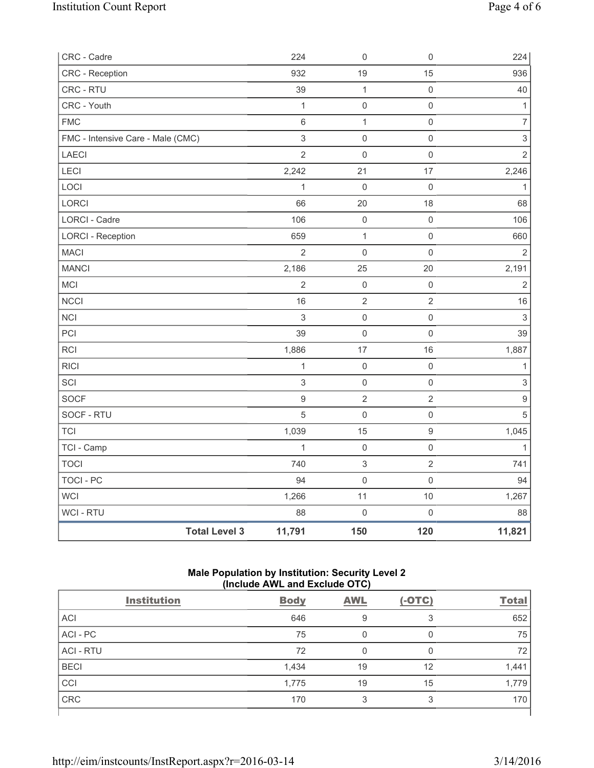| CRC - Cadre                       |                      | 224                       | $\mathbf 0$               | $\mathsf 0$         | 224                       |
|-----------------------------------|----------------------|---------------------------|---------------------------|---------------------|---------------------------|
| CRC - Reception                   |                      | 932                       | 19                        | 15                  | 936                       |
| CRC - RTU                         |                      | 39                        | $\mathbf{1}$              | $\mathsf 0$         | 40                        |
| CRC - Youth                       |                      | $\mathbf{1}$              | $\mathsf{O}\xspace$       | $\mathsf{O}\xspace$ | $\mathbf{1}$              |
| <b>FMC</b>                        |                      | $\,6$                     | $\mathbf 1$               | $\mathsf 0$         | $\overline{7}$            |
| FMC - Intensive Care - Male (CMC) |                      | $\ensuremath{\mathsf{3}}$ | $\mathsf{O}\xspace$       | $\mathbf 0$         | $\ensuremath{\mathsf{3}}$ |
| LAECI                             |                      | $\overline{2}$            | $\mathbf 0$               | $\mathbf 0$         | $\overline{2}$            |
| LECI                              |                      | 2,242                     | 21                        | 17                  | 2,246                     |
| LOCI                              |                      | $\mathbf{1}$              | $\mathbf 0$               | $\mathbf 0$         | $\mathbf{1}$              |
| LORCI                             |                      | 66                        | 20                        | 18                  | 68                        |
| LORCI - Cadre                     |                      | 106                       | $\mathbf 0$               | $\mathbf 0$         | 106                       |
| <b>LORCI - Reception</b>          |                      | 659                       | $\mathbf{1}$              | $\mathsf 0$         | 660                       |
| <b>MACI</b>                       |                      | $\overline{2}$            | $\mathsf{O}\xspace$       | $\mathbf 0$         | $\overline{2}$            |
| <b>MANCI</b>                      |                      | 2,186                     | 25                        | $20\,$              | 2,191                     |
| MCI                               |                      | $\overline{2}$            | $\mathbf 0$               | $\mathsf 0$         | $\overline{2}$            |
| <b>NCCI</b>                       |                      | 16                        | $\sqrt{2}$                | $\sqrt{2}$          | 16                        |
| <b>NCI</b>                        |                      | $\mathsf 3$               | $\mathsf 0$               | $\mathsf 0$         | $\mathfrak{Z}$            |
| PCI                               |                      | 39                        | $\mathsf{O}\xspace$       | $\mathsf 0$         | 39                        |
| <b>RCI</b>                        |                      | 1,886                     | 17                        | 16                  | 1,887                     |
| <b>RICI</b>                       |                      | $\mathbf{1}$              | $\mathsf{O}\xspace$       | $\mathsf 0$         | 1                         |
| SCI                               |                      | $\mathsf 3$               | $\mathsf 0$               | $\mathsf 0$         | $\ensuremath{\mathsf{3}}$ |
| <b>SOCF</b>                       |                      | $\hbox{9}$                | $\sqrt{2}$                | $\sqrt{2}$          | $\boldsymbol{9}$          |
| SOCF - RTU                        |                      | 5                         | $\mathsf{O}\xspace$       | $\mathsf 0$         | $\sqrt{5}$                |
| <b>TCI</b>                        |                      | 1,039                     | 15                        | $\boldsymbol{9}$    | 1,045                     |
| TCI - Camp                        |                      | $\mathbf{1}$              | $\mathsf{O}\xspace$       | $\mathsf{O}\xspace$ | $\mathbf{1}$              |
| <b>TOCI</b>                       |                      | 740                       | $\ensuremath{\mathsf{3}}$ | $\overline{2}$      | 741                       |
| <b>TOCI - PC</b>                  |                      | 94                        | $\mathsf{O}\xspace$       | $\mathbf 0$         | 94                        |
| WCI                               |                      | 1,266                     | 11                        | 10                  | 1,267                     |
| <b>WCI - RTU</b>                  |                      | 88                        | $\mathsf{O}\xspace$       | $\mathsf 0$         | 88                        |
|                                   | <b>Total Level 3</b> | 11,791                    | 150                       | 120                 | 11,821                    |

# **Male Population by Institution: Security Level 2 (Include AWL and Exclude OTC)**

|                    | $(111919997111 = 0.119121010100001101)$ |            |          |              |
|--------------------|-----------------------------------------|------------|----------|--------------|
| <b>Institution</b> | <b>Body</b>                             | <b>AWL</b> | $(-OTC)$ | <b>Total</b> |
| <b>ACI</b>         | 646                                     | 9          | 3        | 652          |
| ACI - PC           | 75                                      | 0          | 0        | 75           |
| <b>ACI - RTU</b>   | 72                                      | 0          | 0        | 72           |
| <b>BECI</b>        | 1,434                                   | 19         | 12       | 1,441        |
| CCI                | 1,775                                   | 19         | 15       | 1,779        |
| <b>CRC</b>         | 170                                     | 3          | 3        | 170          |
|                    |                                         |            |          |              |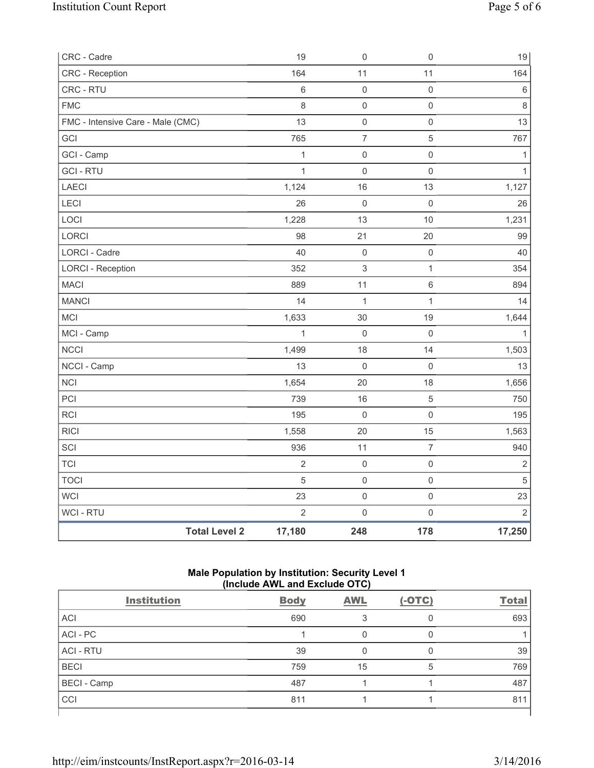| <b>Total Level 2</b>                     | 17,180         | 248                                   | 178                      | 17,250         |
|------------------------------------------|----------------|---------------------------------------|--------------------------|----------------|
| WCI - RTU                                | $\overline{2}$ | $\mathsf{O}\xspace$                   | $\mathsf{O}\xspace$      | $\overline{2}$ |
| WCI                                      | 23             | $\mathsf{O}\xspace$                   | $\mathsf{O}\xspace$      | 23             |
| <b>TOCI</b>                              | 5              | $\mathsf{O}\xspace$                   | $\mathsf{O}\xspace$      | $\sqrt{5}$     |
| <b>TCI</b>                               | $\overline{2}$ | $\mathsf{O}\xspace$                   | $\mathsf{O}\xspace$      | $\mathbf 2$    |
| SCI                                      | 936            | 11                                    | $\overline{7}$           | 940            |
| <b>RICI</b>                              | 1,558          | 20                                    | 15                       | 1,563          |
| RCI                                      | 195            | $\mathsf{O}\xspace$                   | $\mathsf{O}\xspace$      | 195            |
| PCI                                      | 739            | 16                                    | $\mathbf 5$              | 750            |
| <b>NCI</b>                               | 1,654          | 20                                    | 18                       | 1,656          |
| NCCI - Camp                              | 13             | $\mathsf{O}\xspace$                   | $\mathsf 0$              | 13             |
| <b>NCCI</b>                              | 1,499          | 18                                    | 14                       | 1,503          |
| MCI - Camp                               | $\mathbf{1}$   | $\mathsf{O}\xspace$                   | $\mathbf 0$              |                |
| MCI                                      | 1,633          | 30                                    | 19                       | 1,644          |
| <b>MANCI</b>                             | 14             | $\mathbf 1$                           | 1                        | 14             |
| <b>MACI</b>                              | 889            | 11                                    | $\,6\,$                  | 894            |
| <b>LORCI - Reception</b>                 | 352            | $\ensuremath{\mathsf{3}}$             | $\mathbf{1}$             | 354            |
| LORCI - Cadre                            | 40             | $\mathsf{O}\xspace$                   | $\mathsf{O}\xspace$      | 40             |
| LORCI                                    | 98             | 21                                    | 20                       | 99             |
| LOCI                                     | 1,228          | 13                                    | 10                       | 1,231          |
| LECI                                     | 26             | $\mathsf{O}\xspace$                   | $\mathbf 0$              | 26             |
| LAECI                                    | 1,124          | 16                                    | 13                       | 1,127          |
| <b>GCI-RTU</b>                           | $\mathbf{1}$   | $\mathbf 0$                           | $\mathsf 0$              | $\mathbf{1}$   |
| GCI - Camp                               | $\mathbf{1}$   | $\mathsf{O}\xspace$                   | $\mathsf 0$              | 1              |
| FMC - Intensive Care - Male (CMC)<br>GCI | 765            | $\mathsf{O}\xspace$<br>$\overline{7}$ | $\mathsf{O}\xspace$<br>5 | 767            |
| <b>FMC</b>                               | 8<br>13        | $\mathsf{O}\xspace$                   | $\mathsf{O}\xspace$      | $\,8\,$<br>13  |
| CRC - RTU                                | $\,$ 6 $\,$    | $\mathsf{O}\xspace$                   | $\mathsf 0$              | $\,6\,$        |
| <b>CRC</b> - Reception                   | 164            | 11                                    | 11                       | 164            |
| CRC - Cadre                              | 19             | $\mathbf 0$                           | $\mathsf 0$              | 19             |
|                                          |                |                                       |                          |                |

# **Male Population by Institution: Security Level 1 (Include AWL and Exclude OTC)**

|                    | $(111919997111 = 0.119121010100001101)$ |            |          |              |
|--------------------|-----------------------------------------|------------|----------|--------------|
| <b>Institution</b> | <b>Body</b>                             | <b>AWL</b> | $(-OTC)$ | <b>Total</b> |
| <b>ACI</b>         | 690                                     |            | 0        | 693          |
| ACI - PC           |                                         |            | 0        |              |
| <b>ACI - RTU</b>   | 39                                      | 0          | 0        | 39           |
| <b>BECI</b>        | 759                                     | 15         | 5        | 769          |
| <b>BECI</b> - Camp | 487                                     |            |          | 487          |
| CCI                | 811                                     |            |          | 811          |
|                    |                                         |            |          |              |